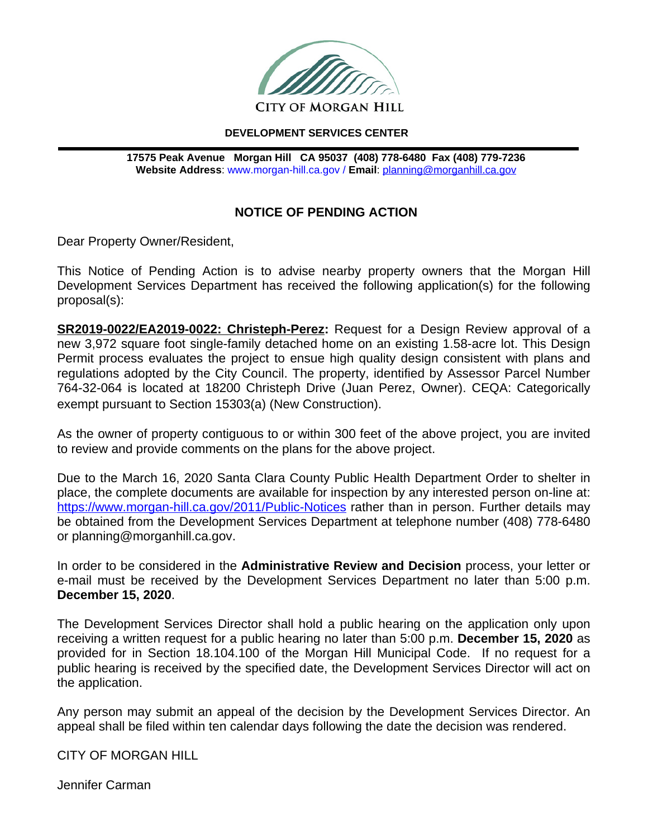

## **DEVELOPMENT SERVICES CENTER**

**17575 Peak Avenue Morgan Hill CA 95037 (408) 778-6480 Fax (408) 779-7236 Website Address**: www.morgan-hill.ca.gov / **Email**: [planning@morganhill.ca.gov](mailto:planning@morganhill.ca.gov)

## **NOTICE OF PENDING ACTION**

Dear Property Owner/Resident,

This Notice of Pending Action is to advise nearby property owners that the Morgan Hill Development Services Department has received the following application(s) for the following proposal(s):

**SR2019-0022/EA2019-0022: Christeph-Perez:** Request for a Design Review approval of a new 3,972 square foot single-family detached home on an existing 1.58-acre lot. This Design Permit process evaluates the project to ensue high quality design consistent with plans and regulations adopted by the City Council. The property, identified by Assessor Parcel Number 764-32-064 is located at 18200 Christeph Drive (Juan Perez, Owner). CEQA: Categorically exempt pursuant to Section 15303(a) (New Construction).

As the owner of property contiguous to or within 300 feet of the above project, you are invited to review and provide comments on the plans for the above project.

Due to the March 16, 2020 Santa Clara County Public Health Department Order to shelter in place, the complete documents are available for inspection by any interested person on-line at: <https://www.morgan-hill.ca.gov/2011/Public-Notices> rather than in person. Further details may be obtained from the Development Services Department at telephone number (408) 778-6480 or planning@morganhill.ca.gov.

In order to be considered in the **Administrative Review and Decision** process, your letter or e-mail must be received by the Development Services Department no later than 5:00 p.m. **December 15, 2020**.

The Development Services Director shall hold a public hearing on the application only upon receiving a written request for a public hearing no later than 5:00 p.m. **December 15, 2020** as provided for in Section 18.104.100 of the Morgan Hill Municipal Code. If no request for a public hearing is received by the specified date, the Development Services Director will act on the application.

Any person may submit an appeal of the decision by the Development Services Director. An appeal shall be filed within ten calendar days following the date the decision was rendered.

CITY OF MORGAN HILL

Jennifer Carman